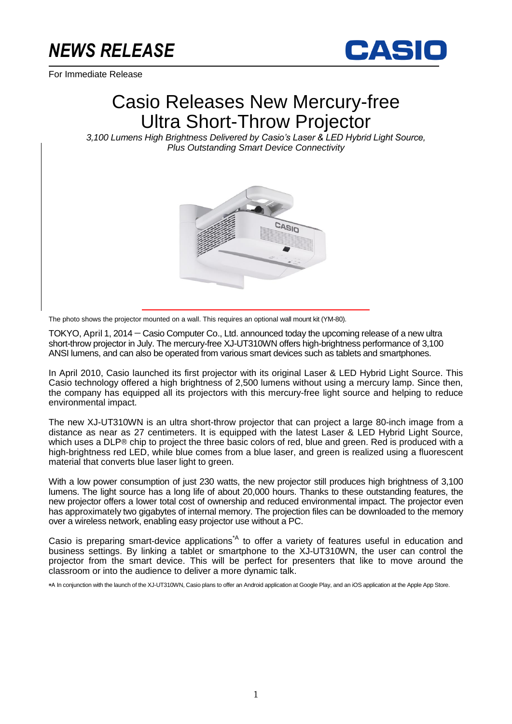# *NEWS RELEASE*

For Immediate Release



# Casio Releases New Mercury-free Ultra Short-Throw Projector

*3,100 Lumens High Brightness Delivered by Casio's Laser & LED Hybrid Light Source, Plus Outstanding Smart Device Connectivity*



The photo shows the projector mounted on a wall. This requires an optional wall mount kit (YM-80).

TOKYO, April 1, 2014 — Casio Computer Co., Ltd. announced today the upcoming release of a new ultra short-throw projector in July. The mercury-free XJ-UT310WN offers high-brightness performance of 3,100 ANSI lumens, and can also be operated from various smart devices such as tablets and smartphones.

In April 2010, Casio launched its first projector with its original Laser & LED Hybrid Light Source. This Casio technology offered a high brightness of 2,500 lumens without using a mercury lamp. Since then, the company has equipped all its projectors with this mercury-free light source and helping to reduce environmental impact.

The new XJ-UT310WN is an ultra short-throw projector that can project a large 80-inch image from a distance as near as 27 centimeters. It is equipped with the latest Laser & LED Hybrid Light Source, which uses a DLP® chip to project the three basic colors of red, blue and green. Red is produced with a high-brightness red LED, while blue comes from a blue laser, and green is realized using a fluorescent material that converts blue laser light to green.

With a low power consumption of just 230 watts, the new projector still produces high brightness of 3,100 lumens. The light source has a long life of about 20,000 hours. Thanks to these outstanding features, the new projector offers a lower total cost of ownership and reduced environmental impact. The projector even has approximately two gigabytes of internal memory. The projection files can be downloaded to the memory over a wireless network, enabling easy projector use without a PC.

Casio is preparing smart-device applications<sup>\*A</sup> to offer a variety of features useful in education and business settings. By linking a tablet or smartphone to the XJ-UT310WN, the user can control the projector from the smart device. This will be perfect for presenters that like to move around the classroom or into the audience to deliver a more dynamic talk.

\*A In conjunction with the launch of the XJ-UT310WN, Casio plans to offer an Android application at Google Play, and an iOS application at the Apple App Store.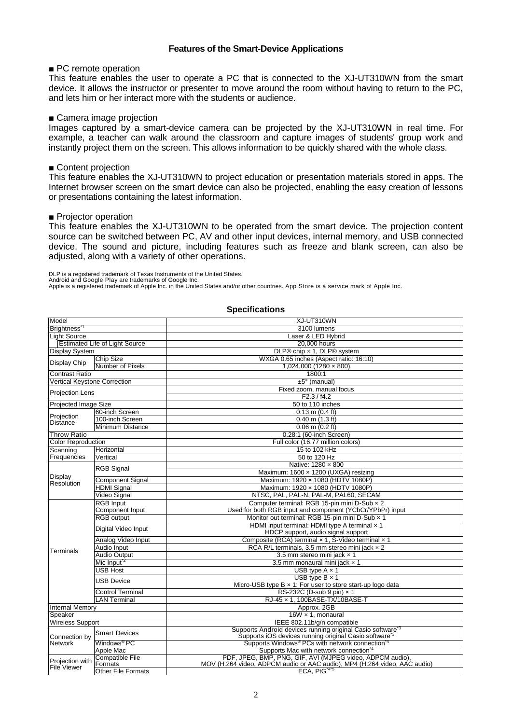# **Features of the Smart-Device Applications**

# ■ PC remote operation

This feature enables the user to operate a PC that is connected to the XJ-UT310WN from the smart device. It allows the instructor or presenter to move around the room without having to return to the PC, and lets him or her interact more with the students or audience.

#### ■ Camera image projection

Images captured by a smart-device camera can be projected by the XJ-UT310WN in real time. For example, a teacher can walk around the classroom and capture images of students' group work and instantly project them on the screen. This allows information to be quickly shared with the whole class.

# ■ Content projection

This feature enables the XJ-UT310WN to project education or presentation materials stored in apps. The Internet browser screen on the smart device can also be projected, enabling the easy creation of lessons or presentations containing the latest information.

### ■ Projector operation

This feature enables the XJ-UT310WN to be operated from the smart device. The projection content source can be switched between PC, AV and other input devices, internal memory, and USB connected device. The sound and picture, including features such as freeze and blank screen, can also be adjusted, along with a variety of other operations.

DLP is a registered trademark of Texas Instruments of the United States.<br>Android and Google Play are trademarks of Google Inc.<br>Apple is a registered trademark of Apple Inc. in the United States and/or other countries. App

### **Specifications**

| Model                                                             |                           | XJ-UT310WN                                                                                                                                  |
|-------------------------------------------------------------------|---------------------------|---------------------------------------------------------------------------------------------------------------------------------------------|
| Brightness <sup>*1</sup>                                          |                           | 3100 lumens                                                                                                                                 |
| <b>Light Source</b>                                               |                           | Laser & LED Hybrid                                                                                                                          |
| <b>Estimated Life of Light Source</b>                             |                           | 20,000 hours                                                                                                                                |
| <b>Display System</b>                                             |                           | DLP® chip x 1, DLP® system                                                                                                                  |
|                                                                   | Chip Size                 | WXGA 0.65 inches (Aspect ratio: 16:10)                                                                                                      |
| <b>Display Chip</b>                                               | Number of Pixels          | $1.024.000(1280 \times 800)$                                                                                                                |
| Contrast Ratio                                                    |                           | 1800:1                                                                                                                                      |
| <b>Vertical Keystone Correction</b>                               |                           | $±5°$ (manual)                                                                                                                              |
|                                                                   |                           | Fixed zoom, manual focus                                                                                                                    |
| <b>Projection Lens</b>                                            |                           | F2.3 / f4.2                                                                                                                                 |
| Projected Image Size                                              |                           | 50 to 110 inches                                                                                                                            |
|                                                                   | 60-inch Screen            | $0.13$ m $(0.4$ ft)                                                                                                                         |
| Projection<br><b>Distance</b>                                     | 100-inch Screen           | $0.40$ m $(1.3$ ft)                                                                                                                         |
|                                                                   | Minimum Distance          | $0.06$ m $(0.2$ ft)                                                                                                                         |
| <b>Throw Ratio</b>                                                |                           | 0.28:1 (60-inch Screen)                                                                                                                     |
| <b>Color Reproduction</b>                                         |                           | Full color (16.77 million colors)                                                                                                           |
| Scanning                                                          | Horizontal                | 15 to 102 kHz                                                                                                                               |
| Frequencies                                                       | Vertical                  | 50 to 120 Hz                                                                                                                                |
|                                                                   |                           | Native: 1280 x 800                                                                                                                          |
|                                                                   | <b>RGB Signal</b>         | Maximum: 1600 x 1200 (UXGA) resizing                                                                                                        |
| Display<br>Resolution                                             | <b>Component Signal</b>   | Maximum: 1920 x 1080 (HDTV 1080P)                                                                                                           |
|                                                                   | <b>HDMI</b> Signal        | Maximum: 1920 x 1080 (HDTV 1080P)                                                                                                           |
|                                                                   | Video Signal              | NTSC, PAL, PAL-N, PAL-M, PAL60, SECAM                                                                                                       |
|                                                                   | <b>RGB Input</b>          | Computer terminal: RGB 15-pin mini D-Sub x 2                                                                                                |
|                                                                   | Component Input           | Used for both RGB input and component (YCbCr/YPbPr) input                                                                                   |
|                                                                   | <b>RGB</b> output         | Monitor out terminal: RGB 15-pin mini D-Sub x 1                                                                                             |
|                                                                   | Digital Video Input       | HDMI input terminal: HDMI type A terminal x 1                                                                                               |
|                                                                   |                           | HDCP support, audio signal support                                                                                                          |
|                                                                   | Analog Video Input        | Composite (RCA) terminal x 1, S-Video terminal x 1                                                                                          |
| Terminals                                                         | Audio Input               | RCA R/L terminals, 3.5 mm stereo mini jack x 2                                                                                              |
|                                                                   | Audio Output              | 3.5 mm stereo mini jack x 1                                                                                                                 |
|                                                                   | Mic Input <sup>2</sup>    | 3.5 mm monaural mini jack x 1                                                                                                               |
|                                                                   | <b>USB Host</b>           | USB type $A \times 1$                                                                                                                       |
|                                                                   | USB Device                | USB type $B \times 1$                                                                                                                       |
|                                                                   |                           | Micro-USB type $B \times 1$ : For user to store start-up logo data                                                                          |
|                                                                   | <b>Control Terminal</b>   | RS-232C (D-sub 9 pin) x 1                                                                                                                   |
|                                                                   | <b>LAN Terminal</b>       | RJ-45 x 1, 100BASE-TX/10BASE-T                                                                                                              |
| <b>Internal Memory</b>                                            |                           | Approx. 2GB                                                                                                                                 |
| Speaker                                                           |                           | $16W \times 1$ , monaural                                                                                                                   |
| <b>Wireless Support</b>                                           |                           | IEEE 802.11b/g/n compatible                                                                                                                 |
| Connection by<br><b>Network</b><br>Projection with<br>File Viewer | <b>Smart Devices</b>      | Supports Android devices running original Casio software <sup>3</sup><br>Supports iOS devices running original Casio software <sup>*3</sup> |
|                                                                   | Windows <sup>®</sup> PC   | Supports Windows <sup>®</sup> PCs with network connection <sup>14</sup>                                                                     |
|                                                                   | Apple Mac                 | Supports Mac with network connection <sup>4</sup>                                                                                           |
|                                                                   | Compatible File           | PDF, JPEG, BMP, PNG, GIF, AVI (MJPEG video, ADPCM audio),                                                                                   |
|                                                                   | Formats                   | MOV (H.264 video, ADPCM audio or AAC audio), MP4 (H.264 video, AAC audio)                                                                   |
|                                                                   | <b>Other File Formats</b> | ECA, PtG <sup>-4-5</sup>                                                                                                                    |